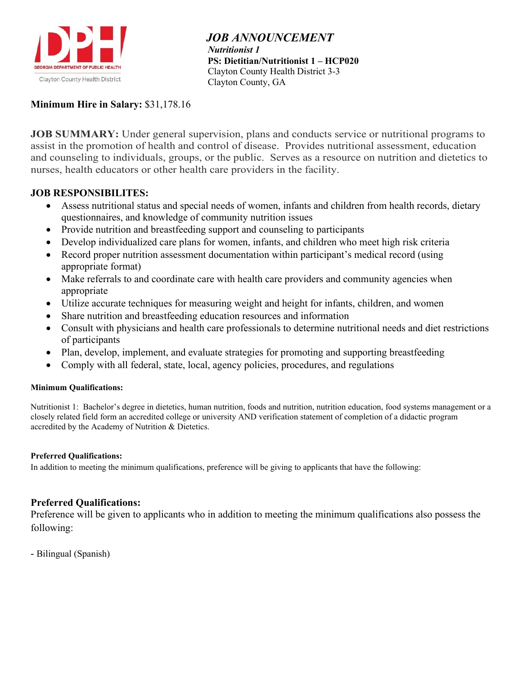

 *JOB ANNOUNCEMENT Nutritionist 1*  **PS: Dietitian/Nutritionist 1 – HCP020** Clayton County Health District 3-3 Clayton County, GA

## **Minimum Hire in Salary:** \$31,178.16

**JOB SUMMARY:** Under general supervision, plans and conducts service or nutritional programs to assist in the promotion of health and control of disease. Provides nutritional assessment, education and counseling to individuals, groups, or the public. Serves as a resource on nutrition and dietetics to nurses, health educators or other health care providers in the facility.

#### **JOB RESPONSIBILITES:**

- Assess nutritional status and special needs of women, infants and children from health records, dietary questionnaires, and knowledge of community nutrition issues
- Provide nutrition and breastfeeding support and counseling to participants
- Develop individualized care plans for women, infants, and children who meet high risk criteria
- Record proper nutrition assessment documentation within participant's medical record (using appropriate format)
- Make referrals to and coordinate care with health care providers and community agencies when appropriate
- Utilize accurate techniques for measuring weight and height for infants, children, and women
- Share nutrition and breastfeeding education resources and information
- Consult with physicians and health care professionals to determine nutritional needs and diet restrictions of participants
- Plan, develop, implement, and evaluate strategies for promoting and supporting breastfeeding
- Comply with all federal, state, local, agency policies, procedures, and regulations

#### **Minimum Qualifications:**

Nutritionist 1: Bachelor's degree in dietetics, human nutrition, foods and nutrition, nutrition education, food systems management or a closely related field form an accredited college or university AND verification statement of completion of a didactic program accredited by the Academy of Nutrition & Dietetics.

#### **Preferred Qualifications:**

In addition to meeting the minimum qualifications, preference will be giving to applicants that have the following:

#### **Preferred Qualifications:**

Preference will be given to applicants who in addition to meeting the minimum qualifications also possess the following:

- Bilingual (Spanish)